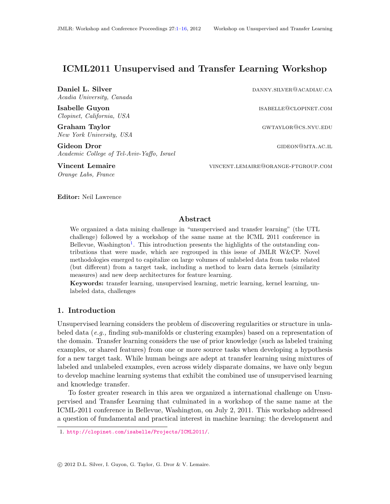# ICML2011 Unsupervised and Transfer Learning Workshop

Daniel L. Silver **Daniel L. Silver Daniel L. Silver** Acadia University, Canada

Clopinet, California, USA

Graham Taylor Graham Taylor gwtaylor gwtaylor gwtaylor gwtaylor gwtaylor gwtaylor gwtaylor gwtaylor gwtaylor g New York University, USA

Gideon Dror GIDEON CONSTRUCTED GENERAL GENERAL GENERAL GENERAL GENERAL GENERAL GENERAL GENERAL GENERAL GENERAL G Academic College of Tel-Aviv-Yaffo, Israel

Orange Labs, France

Isabelle Guyon isabelle Communication is a substitute of the state of the state of the state of the state of the state of the state of the state of the state of the state of the state of the state of the state of the state

Vincent Lemaire vincent.Lemaire vincent.Lemaire vincent.Lemaire vincent.Lemaire

Editor: Neil Lawrence

# Abstract

We organized a data mining challenge in "unsupervised and transfer learning" (the UTL challenge) followed by a workshop of the same name at the ICML 2011 conference in Bellevue, Washington<sup>[1](#page-0-0)</sup>. This introduction presents the highlights of the outstanding contributions that were made, which are regrouped in this issue of JMLR W&CP. Novel methodologies emerged to capitalize on large volumes of unlabeled data from tasks related (but different) from a target task, including a method to learn data kernels (similarity measures) and new deep architectures for feature learning.

Keywords: transfer learning, unsupervised learning, metric learning, kernel learning, unlabeled data, challenges

# 1. Introduction

Unsupervised learning considers the problem of discovering regularities or structure in unlabeled data (e.g., finding sub-manifolds or clustering examples) based on a representation of the domain. Transfer learning considers the use of prior knowledge (such as labeled training examples, or shared features) from one or more source tasks when developing a hypothesis for a new target task. While human beings are adept at transfer learning using mixtures of labeled and unlabeled examples, even across widely disparate domains, we have only begun to develop machine learning systems that exhibit the combined use of unsupervised learning and knowledge transfer.

To foster greater research in this area we organized a international challenge on Unsupervised and Transfer Learning that culminated in a workshop of the same name at the ICML-2011 conference in Bellevue, Washington, on July 2, 2011. This workshop addressed a question of fundamental and practical interest in machine learning: the development and

<span id="page-0-0"></span><sup>1.</sup> <http://clopinet.com/isabelle/Projects/ICML2011/>.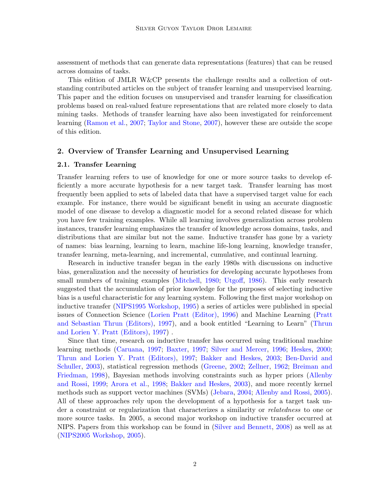assessment of methods that can generate data representations (features) that can be reused across domains of tasks.

This edition of JMLR W&CP presents the challenge results and a collection of outstanding contributed articles on the subject of transfer learning and unsupervised learning. This paper and the edition focuses on unsupervised and transfer learning for classification problems based on real-valued feature representations that are related more closely to data mining tasks. Methods of transfer learning have also been investigated for reinforcement learning [\(Ramon et al.,](#page-14-0) [2007;](#page-14-0) [Taylor and Stone,](#page-14-1) [2007\)](#page-14-1), however these are outside the scope of this edition.

# 2. Overview of Transfer Learning and Unsupervised Learning

#### 2.1. Transfer Learning

Transfer learning refers to use of knowledge for one or more source tasks to develop efficiently a more accurate hypothesis for a new target task. Transfer learning has most frequently been applied to sets of labeled data that have a supervised target value for each example. For instance, there would be significant benefit in using an accurate diagnostic model of one disease to develop a diagnostic model for a second related disease for which you have few training examples. While all learning involves generalization across problem instances, transfer learning emphasizes the transfer of knowledge across domains, tasks, and distributions that are similar but not the same. Inductive transfer has gone by a variety of names: bias learning, learning to learn, machine life-long learning, knowledge transfer, transfer learning, meta-learning, and incremental, cumulative, and continual learning.

Research in inductive transfer began in the early 1980s with discussions on inductive bias, generalization and the necessity of heuristics for developing accurate hypotheses from small numbers of training examples [\(Mitchell,](#page-13-0) [1980;](#page-13-0) [Utgoff,](#page-14-2) [1986\)](#page-14-2). This early research suggested that the accumulation of prior knowledge for the purposes of selecting inductive bias is a useful characteristic for any learning system. Following the first major workshop on inductive transfer [\(NIPS1995 Workshop,](#page-13-1) [1995\)](#page-13-1) a series of articles were published in special issues of Connection Science [\(Lorien Pratt \(Editor\),](#page-13-2) [1996\)](#page-13-2) and Machine Learning [\(Pratt](#page-13-3) [and Sebastian Thrun \(Editors\),](#page-13-3) [1997\)](#page-13-3), and a book entitled "Learning to Learn" [\(Thrun](#page-14-3) [and Lorien Y. Pratt \(Editors\),](#page-14-3) [1997\)](#page-14-3) .

Since that time, research on inductive transfer has occurred using traditional machine learning methods [\(Caruana,](#page-12-0) [1997;](#page-12-0) [Baxter,](#page-11-0) [1997;](#page-11-0) [Silver and Mercer,](#page-14-4) [1996;](#page-14-4) [Heskes,](#page-12-1) [2000;](#page-12-1) [Thrun and Lorien Y. Pratt \(Editors\),](#page-14-3) [1997;](#page-14-3) [Bakker and Heskes,](#page-11-1) [2003;](#page-11-1) [Ben-David and](#page-11-2) [Schuller,](#page-11-2) [2003\)](#page-11-2), statistical regression methods [\(Greene,](#page-12-2) [2002;](#page-12-2) [Zellner,](#page-15-0) [1962;](#page-15-0) [Breiman and](#page-11-3) [Friedman,](#page-11-3) [1998\)](#page-11-3), Bayesian methods involving constraints such as hyper priors [\(Allenby](#page-11-4) [and Rossi,](#page-11-4) [1999;](#page-11-4) [Arora et al.,](#page-11-5) [1998;](#page-11-5) [Bakker and Heskes,](#page-11-1) [2003\)](#page-11-1), and more recently kernel methods such as support vector machines (SVMs) [\(Jebara,](#page-12-3) [2004;](#page-12-3) [Allenby and Rossi,](#page-11-6) [2005\)](#page-11-6). All of these approaches rely upon the development of a hypothesis for a target task under a constraint or regularization that characterizes a similarity or relatedness to one or more source tasks. In 2005, a second major workshop on inductive transfer occurred at NIPS. Papers from this workshop can be found in [\(Silver and Bennett,](#page-14-5) [2008\)](#page-14-5) as well as at [\(NIPS2005 Workshop,](#page-13-4) [2005\)](#page-13-4).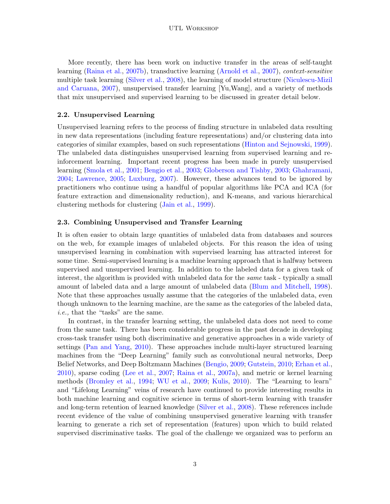More recently, there has been work on inductive transfer in the areas of self-taught learning [\(Raina et al.,](#page-14-6) [2007b\)](#page-14-6), transductive learning [\(Arnold et al.,](#page-11-7) [2007\)](#page-11-7), context-sensitive multiple task learning [\(Silver et al.,](#page-14-7) [2008\)](#page-14-7), the learning of model structure [\(Niculescu-Mizil](#page-13-5) [and Caruana,](#page-13-5) [2007\)](#page-13-5), unsupervised transfer learning [Yu,Wang], and a variety of methods that mix unsupervised and supervised learning to be discussed in greater detail below.

# 2.2. Unsupervised Learning

Unsupervised learning refers to the process of finding structure in unlabeled data resulting in new data representations (including feature representations) and/or clustering data into categories of similar examples, based on such representations [\(Hinton and Sejnowski,](#page-12-4) [1999\)](#page-12-4). The unlabeled data distinguishes unsupervised learning from supervised learning and reinforcement learning. Important recent progress has been made in purely unsupervised learning [\(Smola et al.,](#page-14-8) [2001;](#page-14-8) [Bengio et al.,](#page-11-8) [2003;](#page-11-8) [Globerson and Tishby,](#page-12-5) [2003;](#page-12-5) [Ghahramani,](#page-12-6) [2004;](#page-12-6) [Lawrence,](#page-12-7) [2005;](#page-12-7) [Luxburg,](#page-13-6) [2007\)](#page-13-6). However, these advances tend to be ignored by practitioners who continue using a handful of popular algorithms like PCA and ICA (for feature extraction and dimensionality reduction), and K-means, and various hierarchical clustering methods for clustering [\(Jain et al.,](#page-12-8) [1999\)](#page-12-8).

## 2.3. Combining Unsupervised and Transfer Learning

It is often easier to obtain large quantities of unlabeled data from databases and sources on the web, for example images of unlabeled objects. For this reason the idea of using unsupervised learning in combination with supervised learning has attracted interest for some time. Semi-supervised learning is a machine learning approach that is halfway between supervised and unsupervised learning. In addition to the labeled data for a given task of interest, the algorithm is provided with unlabeled data for the same task - typically a small amount of labeled data and a large amount of unlabeled data [\(Blum and Mitchell,](#page-11-9) [1998\)](#page-11-9). Note that these approaches usually assume that the categories of the unlabeled data, even though unknown to the learning machine, are the same as the categories of the labeled data, i.e., that the "tasks" are the same.

In contrast, in the transfer learning setting, the unlabeled data does not need to come from the same task. There has been considerable progress in the past decade in developing cross-task transfer using both discriminative and generative approaches in a wide variety of settings [\(Pan and Yang,](#page-13-7) [2010\)](#page-13-7). These approaches include multi-layer structured learning machines from the "Deep Learning" family such as convolutional neural networks, Deep Belief Networks, and Deep Boltzmann Machines [\(Bengio,](#page-11-10) [2009;](#page-11-10) [Gutstein,](#page-12-9) [2010;](#page-12-9) [Erhan et al.,](#page-12-10) [2010\)](#page-12-10), sparse coding [\(Lee et al.,](#page-13-8) [2007;](#page-13-8) [Raina et al.,](#page-14-9) [2007a\)](#page-14-9), and metric or kernel learning methods [\(Bromley et al.,](#page-11-11) [1994;](#page-11-11) [WU et al.,](#page-15-1) [2009;](#page-15-1) [Kulis,](#page-12-11) [2010\)](#page-12-11). The "Learning to learn" and "Lifelong Learning" veins of research have continued to provide interesting results in both machine learning and cognitive science in terms of short-term learning with transfer and long-term retention of learned knowledge [\(Silver et al.,](#page-14-7) [2008\)](#page-14-7). These references include recent evidence of the value of combining unsupervised generative learning with transfer learning to generate a rich set of representation (features) upon which to build related supervised discriminative tasks. The goal of the challenge we organized was to perform an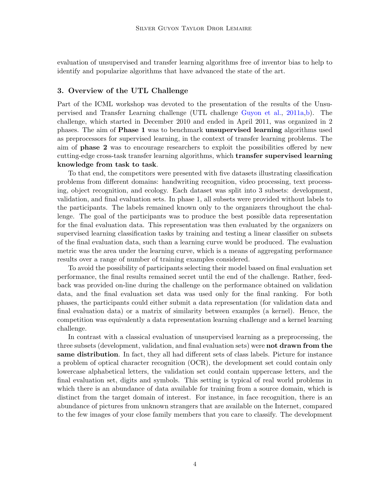evaluation of unsupervised and transfer learning algorithms free of inventor bias to help to identify and popularize algorithms that have advanced the state of the art.

# 3. Overview of the UTL Challenge

Part of the ICML workshop was devoted to the presentation of the results of the Unsupervised and Transfer Learning challenge (UTL challenge [Guyon et al.,](#page-12-12) [2011a,](#page-12-12)[b\)](#page-12-13). The challenge, which started in December 2010 and ended in April 2011, was organized in 2 phases. The aim of Phase 1 was to benchmark unsupervised learning algorithms used as preprocessors for supervised learning, in the context of transfer learning problems. The aim of phase 2 was to encourage researchers to exploit the possibilities offered by new cutting-edge cross-task transfer learning algorithms, which transfer supervised learning knowledge from task to task.

To that end, the competitors were presented with five datasets illustrating classification problems from different domains: handwriting recognition, video processing, text processing, object recognition, and ecology. Each dataset was split into 3 subsets: development, validation, and final evaluation sets. In phase 1, all subsets were provided without labels to the participants. The labels remained known only to the organizers throughout the challenge. The goal of the participants was to produce the best possible data representation for the final evaluation data. This representation was then evaluated by the organizers on supervised learning classification tasks by training and testing a linear classifier on subsets of the final evaluation data, such than a learning curve would be produced. The evaluation metric was the area under the learning curve, which is a means of aggregating performance results over a range of number of training examples considered.

To avoid the possibility of participants selecting their model based on final evaluation set performance, the final results remained secret until the end of the challenge. Rather, feedback was provided on-line during the challenge on the performance obtained on validation data, and the final evaluation set data was used only for the final ranking. For both phases, the participants could either submit a data representation (for validation data and final evaluation data) or a matrix of similarity between examples (a kernel). Hence, the competition was equivalently a data representation learning challenge and a kernel learning challenge.

In contrast with a classical evaluation of unsupervised learning as a preprocessing, the three subsets (development, validation, and final evaluation sets) were **not drawn from the** same distribution. In fact, they all had different sets of class labels. Picture for instance a problem of optical character recognition (OCR), the development set could contain only lowercase alphabetical letters, the validation set could contain uppercase letters, and the final evaluation set, digits and symbols. This setting is typical of real world problems in which there is an abundance of data available for training from a source domain, which is distinct from the target domain of interest. For instance, in face recognition, there is an abundance of pictures from unknown strangers that are available on the Internet, compared to the few images of your close family members that you care to classify. The development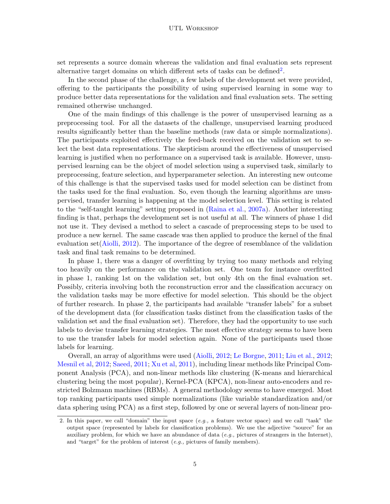set represents a source domain whereas the validation and final evaluation sets represent alternative target domains on which different sets of tasks can be defined<sup>[2](#page-4-0)</sup>.

In the second phase of the challenge, a few labels of the development set were provided, offering to the participants the possibility of using supervised learning in some way to produce better data representations for the validation and final evaluation sets. The setting remained otherwise unchanged.

One of the main findings of this challenge is the power of unsupervised learning as a preprocessing tool. For all the datasets of the challenge, unsupervised learning produced results significantly better than the baseline methods (raw data or simple normalizations). The participants exploited effectively the feed-back received on the validation set to select the best data representations. The skepticism around the effectiveness of unsupervised learning is justified when no performance on a supervised task is available. However, unsupervised learning can be the object of model selection using a supervised task, similarly to preprocessing, feature selection, and hyperparameter selection. An interesting new outcome of this challenge is that the supervised tasks used for model selection can be distinct from the tasks used for the final evaluation. So, even though the learning algorithms are unsupervised, transfer learning is happening at the model selection level. This setting is related to the "self-taught learning" setting proposed in [\(Raina et al.,](#page-14-9) [2007a\)](#page-14-9). Another interesting finding is that, perhaps the development set is not useful at all. The winners of phase 1 did not use it. They devised a method to select a cascade of preprocessing steps to be used to produce a new kernel. The same cascade was then applied to produce the kernel of the final evaluation set[\(Aiolli,](#page-11-12) [2012\)](#page-11-12). The importance of the degree of resemblance of the validation task and final task remains to be determined.

In phase 1, there was a danger of overfitting by trying too many methods and relying too heavily on the performance on the validation set. One team for instance overfitted in phase 1, ranking 1st on the validation set, but only 4th on the final evaluation set. Possibly, criteria involving both the reconstruction error and the classification accuracy on the validation tasks may be more effective for model selection. This should be the object of further research. In phase 2, the participants had available "transfer labels" for a subset of the development data (for classification tasks distinct from the classification tasks of the validation set and the final evaluation set). Therefore, they had the opportunity to use such labels to devise transfer learning strategies. The most effective strategy seems to have been to use the transfer labels for model selection again. None of the participants used those labels for learning.

Overall, an array of algorithms were used [\(Aiolli,](#page-11-12) [2012;](#page-11-12) [Le Borgne,](#page-12-14) [2011;](#page-12-14) [Liu et al.,](#page-13-9) [2012;](#page-13-9) [Mesnil et al,](#page-13-10) [2012;](#page-13-10) [Saeed,](#page-14-10) [2011;](#page-14-10) [Xu et al,](#page-15-2) [2011\)](#page-15-2), including linear methods like Principal Component Analysis (PCA), and non-linear methods like clustering (K-means and hierarchical clustering being the most popular), Kernel-PCA (KPCA), non-linear auto-encoders and restricted Bolzmann machines (RBMs). A general methodology seems to have emerged. Most top ranking participants used simple normalizations (like variable standardization and/or data sphering using PCA) as a first step, followed by one or several layers of non-linear pro-

<span id="page-4-0"></span><sup>2.</sup> In this paper, we call "domain" the input space (e.g., a feature vector space) and we call "task" the output space (represented by labels for classification problems). We use the adjective "source" for an auxiliary problem, for which we have an abundance of data  $(e,q)$ , pictures of strangers in the Internet), and "target" for the problem of interest (e.g., pictures of family members).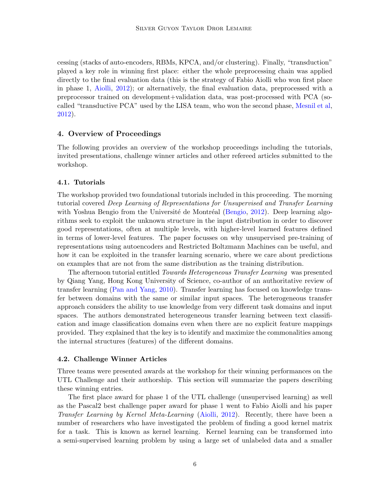cessing (stacks of auto-encoders, RBMs, KPCA, and/or clustering). Finally, "transduction" played a key role in winning first place: either the whole preprocessing chain was applied directly to the final evaluation data (this is the strategy of Fabio Aiolli who won first place in phase 1, [Aiolli,](#page-11-12) [2012\)](#page-11-12); or alternatively, the final evaluation data, preprocessed with a preprocessor trained on development+validation data, was post-processed with PCA (socalled "transductive PCA" used by the LISA team, who won the second phase, [Mesnil et al,](#page-13-10) [2012\)](#page-13-10).

# 4. Overview of Proceedings

The following provides an overview of the workshop proceedings including the tutorials, invited presentations, challenge winner articles and other refereed articles submitted to the workshop.

#### 4.1. Tutorials

The workshop provided two foundational tutorials included in this proceeding. The morning tutorial covered Deep Learning of Representations for Unsupervised and Transfer Learning with Yoshua Bengio from the Université de Montréal [\(Bengio,](#page-11-13) [2012\)](#page-11-13). Deep learning algorithms seek to exploit the unknown structure in the input distribution in order to discover good representations, often at multiple levels, with higher-level learned features defined in terms of lower-level features. The paper focusses on why unsupervised pre-training of representations using autoencoders and Restricted Boltzmann Machines can be useful, and how it can be exploited in the transfer learning scenario, where we care about predictions on examples that are not from the same distribution as the training distribution.

The afternoon tutorial entitled Towards Heterogeneous Transfer Learning was presented by Qiang Yang, Hong Kong University of Science, co-author of an authoritative review of transfer learning [\(Pan and Yang,](#page-13-7) [2010\)](#page-13-7). Transfer learning has focused on knowledge transfer between domains with the same or similar input spaces. The heterogeneous transfer approach considers the ability to use knowledge from very different task domains and input spaces. The authors demonstrated heterogeneous transfer learning between text classification and image classification domains even when there are no explicit feature mappings provided. They explained that the key is to identify and maximize the commonalities among the internal structures (features) of the different domains.

#### 4.2. Challenge Winner Articles

Three teams were presented awards at the workshop for their winning performances on the UTL Challenge and their authorship. This section will summarize the papers describing these winning entries.

The first place award for phase 1 of the UTL challenge (unsupervised learning) as well as the Pascal2 best challenge paper award for phase 1 went to Fabio Aiolli and his paper Transfer Learning by Kernel Meta-Learning [\(Aiolli,](#page-11-12) [2012\)](#page-11-12). Recently, there have been a number of researchers who have investigated the problem of finding a good kernel matrix for a task. This is known as kernel learning. Kernel learning can be transformed into a semi-supervised learning problem by using a large set of unlabeled data and a smaller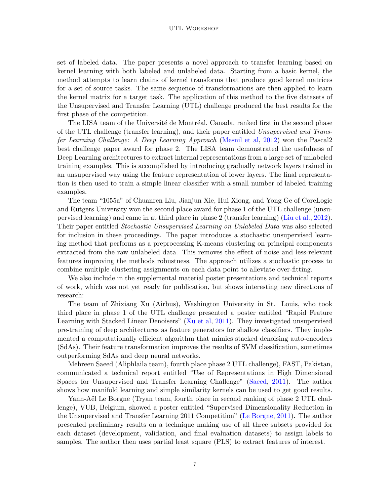#### UTL Workshop

set of labeled data. The paper presents a novel approach to transfer learning based on kernel learning with both labeled and unlabeled data. Starting from a basic kernel, the method attempts to learn chains of kernel transforms that produce good kernel matrices for a set of source tasks. The same sequence of transformations are then applied to learn the kernel matrix for a target task. The application of this method to the five datasets of the Unsupervised and Transfer Learning (UTL) challenge produced the best results for the first phase of the competition.

The LISA team of the Université de Montréal, Canada, ranked first in the second phase of the UTL challenge (transfer learning), and their paper entitled Unsupervised and Transfer Learning Challenge: A Deep Learning Approach [\(Mesnil et al,](#page-13-10) [2012\)](#page-13-10) won the Pascal2 best challenge paper award for phase 2. The LISA team demonstrated the usefulness of Deep Learning architectures to extract internal representations from a large set of unlabeled training examples. This is accomplished by introducing gradually network layers trained in an unsupervised way using the feature representation of lower layers. The final representation is then used to train a simple linear classifier with a small number of labeled training examples.

The team "1055a" of Chuanren Liu, Jianjun Xie, Hui Xiong, and Yong Ge of CoreLogic and Rutgers University won the second place award for phase 1 of the UTL challenge (unsupervised learning) and came in at third place in phase 2 (transfer learning) [\(Liu et al.,](#page-13-9) [2012\)](#page-13-9). Their paper entitled Stochastic Unsupervised Learning on Unlabeled Data was also selected for inclusion in these proceedings. The paper introduces a stochastic unsupervised learning method that performs as a preprocessing K-means clustering on principal components extracted from the raw unlabeled data. This removes the effect of noise and less-relevant features improving the methods robustness. The approach utilizes a stochastic process to combine multiple clustering assignments on each data point to alleviate over-fitting.

We also include in the supplemental material poster presentations and technical reports of work, which was not yet ready for publication, but shows interesting new directions of research:

The team of Zhixiang Xu (Airbus), Washington University in St. Louis, who took third place in phase 1 of the UTL challenge presented a poster entitled "Rapid Feature Learning with Stacked Linear Denoisers" [\(Xu et al,](#page-15-2) [2011\)](#page-15-2). They investigated unsupervised pre-training of deep architectures as feature generators for shallow classifiers. They implemented a computationally efficient algorithm that mimics stacked denoising auto-encoders (SdAs). Their feature transformation improves the results of SVM classification, sometimes outperforming SdAs and deep neural networks.

Mehreen Saeed (Aliphlaila team), fourth place phase 2 UTL challenge), FAST, Pakistan, communicated a technical report entitled "Use of Representations in High Dimensional Spaces for Unsupervised and Transfer Learning Challenge" [\(Saeed,](#page-14-10) [2011\)](#page-14-10). The author shows how manifold learning and simple similarity kernels can be used to get good results.

Yann-Aël Le Borgne (Tryan team, fourth place in second ranking of phase 2 UTL challenge), VUB, Belgium, showed a poster entitled "Supervised Dimensionality Reduction in the Unsupervised and Transfer Learning 2011 Competition" [\(Le Borgne,](#page-12-14) [2011\)](#page-12-14). The author presented preliminary results on a technique making use of all three subsets provided for each dataset (development, validation, and final evaluation datasets) to assign labels to samples. The author then uses partial least square (PLS) to extract features of interest.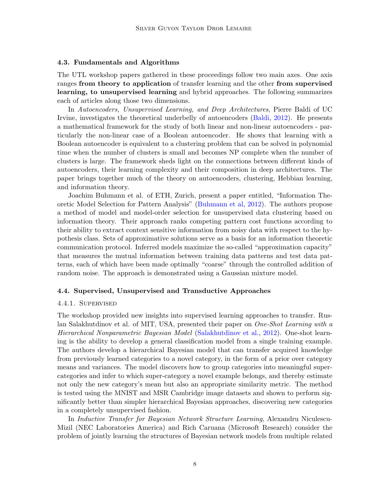#### 4.3. Fundamentals and Algorithms

The UTL workshop papers gathered in these proceedings follow two main axes. One axis ranges from theory to application of transfer learning and the other from supervised learning, to unsupervised learning and hybrid approaches. The following summarizes each of articles along those two dimensions.

In Autoencoders, Unsupervised Learning, and Deep Architectures, Pierre Baldi of UC Irvine, investigates the theoretical underbelly of autoencoders [\(Baldi,](#page-11-14) [2012\)](#page-11-14). He presents a mathematical framework for the study of both linear and non-linear autoencoders - particularly the non-linear case of a Boolean autoencoder. He shows that learning with a Boolean autoencoder is equivalent to a clustering problem that can be solved in polynomial time when the number of clusters is small and becomes NP complete when the number of clusters is large. The framework sheds light on the connections between different kinds of autoencoders, their learning complexity and their composition in deep architectures. The paper brings together much of the theory on autoencoders, clustering, Hebbian learning, and information theory.

Joachim Buhmann et al. of ETH, Zurich, present a paper entitled, "Information Theoretic Model Selection for Pattern Analysis" [\(Buhmann et al,](#page-11-15) [2012\)](#page-11-15). The authors propose a method of model and model-order selection for unsupervised data clustering based on information theory. Their approach ranks competing pattern cost functions according to their ability to extract context sensitive information from noisy data with respect to the hypothesis class. Sets of approximative solutions serve as a basis for an information theoretic communication protocol. Inferred models maximize the so-called "approximation capacity" that measures the mutual information between training data patterns and test data patterns, each of which have been made optimally "coarse" through the controlled addition of random noise. The approach is demonstrated using a Gaussian mixture model.

### 4.4. Supervised, Unsupervised and Transductive Approaches

#### 4.4.1. Supervised

The workshop provided new insights into supervised learning approaches to transfer. Ruslan Salakhutdinov et al. of MIT, USA, presented their paper on *One-Shot Learning with a* Hierarchical Nonparametric Bayesian Model [\(Salakhutdinov et al.,](#page-14-11) [2012\)](#page-14-11). One-shot learning is the ability to develop a general classification model from a single training example. The authors develop a hierarchical Bayesian model that can transfer acquired knowledge from previously learned categories to a novel category, in the form of a prior over category means and variances. The model discovers how to group categories into meaningful supercategories and infer to which super-category a novel example belongs, and thereby estimate not only the new category's mean but also an appropriate similarity metric. The method is tested using the MNIST and MSR Cambridge image datasets and shown to perform significantly better than simpler hierarchical Bayesian approaches, discovering new categories in a completely unsupervised fashion.

In Inductive Transfer for Bayesian Network Structure Learning, Alexandru Niculescu-Mizil (NEC Laboratories America) and Rich Caruana (Microsoft Research) consider the problem of jointly learning the structures of Bayesian network models from multiple related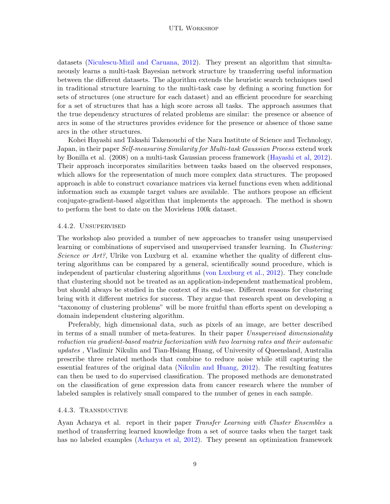datasets [\(Niculescu-Mizil and Caruana,](#page-13-11) [2012\)](#page-13-11). They present an algorithm that simultaneously learns a multi-task Bayesian network structure by transferring useful information between the different datasets. The algorithm extends the heuristic search techniques used in traditional structure learning to the multi-task case by defining a scoring function for sets of structures (one structure for each dataset) and an efficient procedure for searching for a set of structures that has a high score across all tasks. The approach assumes that the true dependency structures of related problems are similar: the presence or absence of arcs in some of the structures provides evidence for the presence or absence of those same arcs in the other structures.

Kohei Hayashi and Takashi Takenouchi of the Nara Institute of Science and Technology, Japan, in their paper Self-measuring Similarity for Multi-task Gaussian Process extend work by Bonilla et al. (2008) on a multi-task Gaussian process framework [\(Hayashi et al,](#page-12-15) [2012\)](#page-12-15). Their approach incorporates similarities between tasks based on the observed responses, which allows for the representation of much more complex data structures. The proposed approach is able to construct covariance matrices via kernel functions even when additional information such as example target values are available. The authors propose an efficient conjugate-gradient-based algorithm that implements the approach. The method is shown to perform the best to date on the Movielens 100k dataset.

#### 4.4.2. Unsupervised

The workshop also provided a number of new approaches to transfer using unsupervised learning or combinations of supervised and unsupervised transfer learning. In *Clustering*: Science or  $Art$ ?, Ulrike von Luxburg et al. examine whether the quality of different clustering algorithms can be compared by a general, scientifically sound procedure, which is independent of particular clustering algorithms [\(von Luxburg et al.,](#page-14-12) [2012\)](#page-14-12). They conclude that clustering should not be treated as an application-independent mathematical problem, but should always be studied in the context of its end-use. Different reasons for clustering bring with it different metrics for success. They argue that research spent on developing a "taxonomy of clustering problems" will be more fruitful than efforts spent on developing a domain independent clustering algorithm.

Preferably, high dimensional data, such as pixels of an image, are better described in terms of a small number of meta-features. In their paper Unsupervised dimensionality reduction via gradient-based matrix factorization with two learning rates and their automatic updates , Vladimir Nikulin and Tian-Hsiang Huang, of University of Queensland, Australia prescribe three related methods that combine to reduce noise while still capturing the essential features of the original data [\(Nikulin and Huang,](#page-13-12) [2012\)](#page-13-12). The resulting features can then be used to do supervised classification. The proposed methods are demonstrated on the classification of gene expression data from cancer research where the number of labeled samples is relatively small compared to the number of genes in each sample.

### 4.4.3. Transductive

Ayan Acharya et al. report in their paper Transfer Learning with Cluster Ensembles a method of transferring learned knowledge from a set of source tasks when the target task has no labeled examples [\(Acharya et al,](#page-10-0) [2012\)](#page-10-0). They present an optimization framework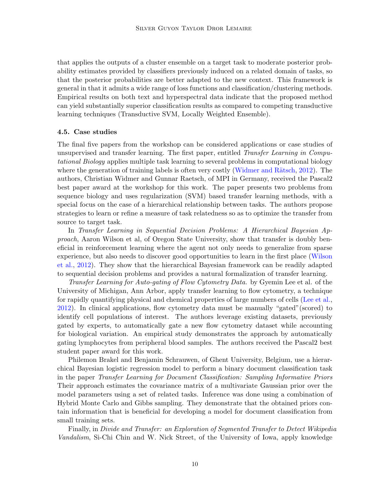that applies the outputs of a cluster ensemble on a target task to moderate posterior probability estimates provided by classifiers previously induced on a related domain of tasks, so that the posterior probabilities are better adapted to the new context. This framework is general in that it admits a wide range of loss functions and classification/clustering methods. Empirical results on both text and hyperspectral data indicate that the proposed method can yield substantially superior classification results as compared to competing transductive learning techniques (Transductive SVM, Locally Weighted Ensemble).

#### 4.5. Case studies

The final five papers from the workshop can be considered applications or case studies of unsupervised and transfer learning. The first paper, entitled Transfer Learning in Computational Biology applies multiple task learning to several problems in computational biology where the generation of training labels is often very costly (Widmer and Rätsch,  $2012$ ). The authors, Christian Widmer and Gunnar Raetsch, of MPI in Germany, received the Pascal2 best paper award at the workshop for this work. The paper presents two problems from sequence biology and uses regularization (SVM) based transfer learning methods, with a special focus on the case of a hierarchical relationship between tasks. The authors propose strategies to learn or refine a measure of task relatedness so as to optimize the transfer from source to target task.

In Transfer Learning in Sequential Decision Problems: A Hierarchical Bayesian Approach, Aaron Wilson et al, of Oregon State University, show that transfer is doubly beneficial in reinforcement learning where the agent not only needs to generalize from sparse experience, but also needs to discover good opportunities to learn in the first place [\(Wilson](#page-15-3) [et al.,](#page-15-3) [2012\)](#page-15-3). They show that the hierarchical Bayesian framework can be readily adapted to sequential decision problems and provides a natural formalization of transfer learning.

Transfer Learning for Auto-gating of Flow Cytometry Data. by Gyemin Lee et al. of the University of Michigan, Ann Arbor, apply transfer learning to flow cytometry, a technique for rapidly quantifying physical and chemical properties of large numbers of cells [\(Lee et al.,](#page-13-13) [2012\)](#page-13-13). In clinical applications, flow cytometry data must be manually "gated"(scored) to identify cell populations of interest. The authors leverage existing datasets, previously gated by experts, to automatically gate a new flow cytometry dataset while accounting for biological variation. An empirical study demonstrates the approach by automatically gating lymphocytes from peripheral blood samples. The authors received the Pascal2 best student paper award for this work.

Philemon Brakel and Benjamin Schrauwen, of Ghent University, Belgium, use a hierarchical Bayesian logistic regression model to perform a binary document classification task in the paper Transfer Learning for Document Classification: Sampling Informative Priors Their approach estimates the covariance matrix of a multivariate Gaussian prior over the model parameters using a set of related tasks. Inference was done using a combination of Hybrid Monte Carlo and Gibbs sampling. They demonstrate that the obtained priors contain information that is beneficial for developing a model for document classification from small training sets.

Finally, in Divide and Transfer: an Exploration of Segmented Transfer to Detect Wikipedia Vandalism, Si-Chi Chin and W. Nick Street, of the University of Iowa, apply knowledge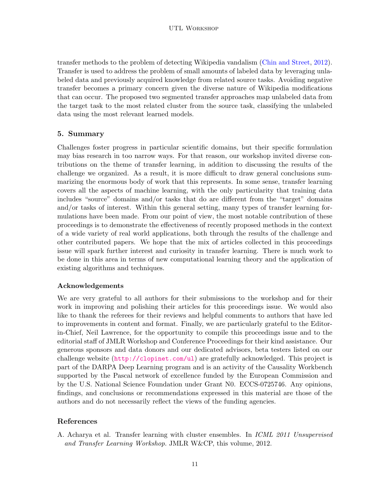transfer methods to the problem of detecting Wikipedia vandalism [\(Chin and Street,](#page-12-16) [2012\)](#page-12-16). Transfer is used to address the problem of small amounts of labeled data by leveraging unlabeled data and previously acquired knowledge from related source tasks. Avoiding negative transfer becomes a primary concern given the diverse nature of Wikipedia modifications that can occur. The proposed two segmented transfer approaches map unlabeled data from the target task to the most related cluster from the source task, classifying the unlabeled data using the most relevant learned models.

## 5. Summary

Challenges foster progress in particular scientific domains, but their specific formulation may bias research in too narrow ways. For that reason, our workshop invited diverse contributions on the theme of transfer learning, in addition to discussing the results of the challenge we organized. As a result, it is more difficult to draw general conclusions summarizing the enormous body of work that this represents. In some sense, transfer learning covers all the aspects of machine learning, with the only particularity that training data includes "source" domains and/or tasks that do are different from the "target" domains and/or tasks of interest. Within this general setting, many types of transfer learning formulations have been made. From our point of view, the most notable contribution of these proceedings is to demonstrate the effectiveness of recently proposed methods in the context of a wide variety of real world applications, both through the results of the challenge and other contributed papers. We hope that the mix of articles collected in this proceedings issue will spark further interest and curiosity in transfer learning. There is much work to be done in this area in terms of new computational learning theory and the application of existing algorithms and techniques.

## Acknowledgements

We are very grateful to all authors for their submissions to the workshop and for their work in improving and polishing their articles for this proceedings issue. We would also like to thank the referees for their reviews and helpful comments to authors that have led to improvements in content and format. Finally, we are particularly grateful to the Editorin-Chief, Neil Lawrence, for the opportunity to compile this proceedings issue and to the editorial staff of JMLR Workshop and Conference Proceedings for their kind assistance. Our generous sponsors and data donors and our dedicated advisors, beta testers listed on our challenge website (<http://clopinet.com/ul>) are gratefully acknowledged. This project is part of the DARPA Deep Learning program and is an activity of the Causality Workbench supported by the Pascal network of excellence funded by the European Commission and by the U.S. National Science Foundation under Grant N0. ECCS-0725746. Any opinions, findings, and conclusions or recommendations expressed in this material are those of the authors and do not necessarily reflect the views of the funding agencies.

# References

<span id="page-10-0"></span>A. Acharya et al. Transfer learning with cluster ensembles. In ICML 2011 Unsupervised and Transfer Learning Workshop. JMLR W&CP, this volume, 2012.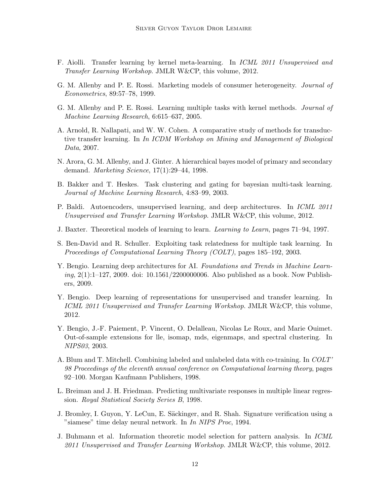- <span id="page-11-12"></span>F. Aiolli. Transfer learning by kernel meta-learning. In ICML 2011 Unsupervised and Transfer Learning Workshop. JMLR W&CP, this volume, 2012.
- <span id="page-11-4"></span>G. M. Allenby and P. E. Rossi. Marketing models of consumer heterogeneity. Journal of Econometrics, 89:57–78, 1999.
- <span id="page-11-6"></span>G. M. Allenby and P. E. Rossi. Learning multiple tasks with kernel methods. Journal of Machine Learning Research, 6:615–637, 2005.
- <span id="page-11-7"></span>A. Arnold, R. Nallapati, and W. W. Cohen. A comparative study of methods for transductive transfer learning. In In ICDM Workshop on Mining and Management of Biological Data, 2007.
- <span id="page-11-5"></span>N. Arora, G. M. Allenby, and J. Ginter. A hierarchical bayes model of primary and secondary demand. Marketing Science, 17(1):29–44, 1998.
- <span id="page-11-1"></span>B. Bakker and T. Heskes. Task clustering and gating for bayesian multi-task learning. Journal of Machine Learning Research, 4:83–99, 2003.
- <span id="page-11-14"></span>P. Baldi. Autoencoders, unsupervised learning, and deep architectures. In *ICML 2011* Unsupervised and Transfer Learning Workshop. JMLR W&CP, this volume, 2012.
- <span id="page-11-0"></span>J. Baxter. Theoretical models of learning to learn. Learning to Learn, pages 71–94, 1997.
- <span id="page-11-2"></span>S. Ben-David and R. Schuller. Exploiting task relatedness for multiple task learning. In Proceedings of Computational Learning Theory (COLT), pages 185–192, 2003.
- <span id="page-11-10"></span>Y. Bengio. Learning deep architectures for AI. Foundations and Trends in Machine Learn $ing, 2(1):1-127, 2009.$  doi:  $10.1561/2200000006.$  Also published as a book. Now Publishers, 2009.
- <span id="page-11-13"></span>Y. Bengio. Deep learning of representations for unsupervised and transfer learning. In ICML 2011 Unsupervised and Transfer Learning Workshop. JMLR W&CP, this volume, 2012.
- <span id="page-11-8"></span>Y. Bengio, J.-F. Paiement, P. Vincent, O. Delalleau, Nicolas Le Roux, and Marie Ouimet. Out-of-sample extensions for lle, isomap, mds, eigenmaps, and spectral clustering. In NIPS03, 2003.
- <span id="page-11-9"></span>A. Blum and T. Mitchell. Combining labeled and unlabeled data with co-training. In COLT' 98 Proceedings of the eleventh annual conference on Computational learning theory, pages 92–100. Morgan Kaufmann Publishers, 1998.
- <span id="page-11-3"></span>L. Breiman and J. H. Friedman. Predicting multivariate responses in multiple linear regression. Royal Statistical Society Series B, 1998.
- <span id="page-11-11"></span>J. Bromley, I. Guyon, Y. LeCun, E. Säckinger, and R. Shah. Signature verification using a "siamese" time delay neural network. In In NIPS Proc, 1994.
- <span id="page-11-15"></span>J. Buhmann et al. Information theoretic model selection for pattern analysis. In ICML 2011 Unsupervised and Transfer Learning Workshop. JMLR W&CP, this volume, 2012.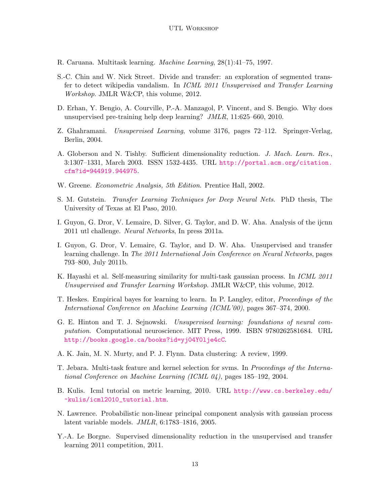- <span id="page-12-0"></span>R. Caruana. Multitask learning. Machine Learning, 28(1):41–75, 1997.
- <span id="page-12-16"></span>S.-C. Chin and W. Nick Street. Divide and transfer: an exploration of segmented transfer to detect wikipedia vandalism. In ICML 2011 Unsupervised and Transfer Learning Workshop. JMLR W&CP, this volume, 2012.
- <span id="page-12-10"></span>D. Erhan, Y. Bengio, A. Courville, P.-A. Manzagol, P. Vincent, and S. Bengio. Why does unsupervised pre-training help deep learning? JMLR, 11:625–660, 2010.
- <span id="page-12-6"></span>Z. Ghahramani. Unsupervised Learning, volume 3176, pages 72–112. Springer-Verlag, Berlin, 2004.
- <span id="page-12-5"></span>A. Globerson and N. Tishby. Sufficient dimensionality reduction. J. Mach. Learn. Res., 3:1307–1331, March 2003. ISSN 1532-4435. URL [http://portal.acm.org/citation.](http://portal.acm.org/citation.cfm?id=944919.944975) [cfm?id=944919.944975](http://portal.acm.org/citation.cfm?id=944919.944975).
- <span id="page-12-2"></span>W. Greene. Econometric Analysis, 5th Edition. Prentice Hall, 2002.
- <span id="page-12-9"></span>S. M. Gutstein. Transfer Learning Techniques for Deep Neural Nets. PhD thesis, The University of Texas at El Paso, 2010.
- <span id="page-12-12"></span>I. Guyon, G. Dror, V. Lemaire, D. Silver, G. Taylor, and D. W. Aha. Analysis of the ijcnn 2011 utl challenge. Neural Networks, In press 2011a.
- <span id="page-12-13"></span>I. Guyon, G. Dror, V. Lemaire, G. Taylor, and D. W. Aha. Unsupervised and transfer learning challenge. In The 2011 International Join Conference on Neural Networks, pages 793–800, July 2011b.
- <span id="page-12-15"></span>K. Hayashi et al. Self-measuring similarity for multi-task gaussian process. In ICML 2011 Unsupervised and Transfer Learning Workshop. JMLR W&CP, this volume, 2012.
- <span id="page-12-1"></span>T. Heskes. Empirical bayes for learning to learn. In P. Langley, editor, Proceedings of the International Conference on Machine Learning (ICML'00), pages 367–374, 2000.
- <span id="page-12-4"></span>G. E. Hinton and T. J. Sejnowski. Unsupervised learning: foundations of neural computation. Computational neuroscience. MIT Press, 1999. ISBN 9780262581684. URL <http://books.google.ca/books?id=yj04Y0lje4cC>.
- <span id="page-12-8"></span>A. K. Jain, M. N. Murty, and P. J. Flynn. Data clustering: A review, 1999.
- <span id="page-12-3"></span>T. Jebara. Multi-task feature and kernel selection for svms. In Proceedings of the International Conference on Machine Learning (ICML 04), pages 185–192, 2004.
- <span id="page-12-11"></span>B. Kulis. Icml tutorial on metric learning, 2010. URL [http://www.cs.berkeley.edu/](http://www.cs.berkeley.edu/~kulis/icml2010_tutorial.htm) [~kulis/icml2010\\_tutorial.htm](http://www.cs.berkeley.edu/~kulis/icml2010_tutorial.htm).
- <span id="page-12-7"></span>N. Lawrence. Probabilistic non-linear principal component analysis with gaussian process latent variable models. JMLR, 6:1783–1816, 2005.
- <span id="page-12-14"></span>Y.-A. Le Borgne. Supervised dimensionality reduction in the unsupervised and transfer learning 2011 competition, 2011.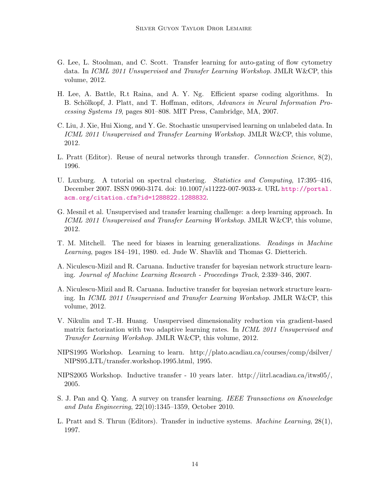- <span id="page-13-13"></span>G. Lee, L. Stoolman, and C. Scott. Transfer learning for auto-gating of flow cytometry data. In ICML 2011 Unsupervised and Transfer Learning Workshop. JMLR W&CP, this volume, 2012.
- <span id="page-13-8"></span>H. Lee, A. Battle, R.t Raina, and A. Y. Ng. Efficient sparse coding algorithms. In B. Schölkopf, J. Platt, and T. Hoffman, editors, Advances in Neural Information Processing Systems 19, pages 801–808. MIT Press, Cambridge, MA, 2007.
- <span id="page-13-9"></span>C. Liu, J. Xie, Hui Xiong, and Y. Ge. Stochastic unsupervised learning on unlabeled data. In ICML 2011 Unsupervised and Transfer Learning Workshop. JMLR W&CP, this volume, 2012.
- <span id="page-13-2"></span>L. Pratt (Editor). Reuse of neural networks through transfer. Connection Science, 8(2), 1996.
- <span id="page-13-6"></span>U. Luxburg. A tutorial on spectral clustering. Statistics and Computing, 17:395–416, December 2007. ISSN 0960-3174. doi: 10.1007/s11222-007-9033-z. URL [http://portal.](http://portal.acm.org/citation.cfm?id=1288822.1288832) [acm.org/citation.cfm?id=1288822.1288832](http://portal.acm.org/citation.cfm?id=1288822.1288832).
- <span id="page-13-10"></span>G. Mesnil et al. Unsupervised and transfer learning challenge: a deep learning approach. In ICML 2011 Unsupervised and Transfer Learning Workshop. JMLR W&CP, this volume, 2012.
- <span id="page-13-0"></span>T. M. Mitchell. The need for biases in learning generalizations. Readings in Machine Learning, pages 184–191, 1980. ed. Jude W. Shavlik and Thomas G. Dietterich.
- <span id="page-13-5"></span>A. Niculescu-Mizil and R. Caruana. Inductive transfer for bayesian network structure learning. Journal of Machine Learning Research - Proceedings Track, 2:339–346, 2007.
- <span id="page-13-11"></span>A. Niculescu-Mizil and R. Caruana. Inductive transfer for bayesian network structure learning. In ICML 2011 Unsupervised and Transfer Learning Workshop. JMLR W&CP, this volume, 2012.
- <span id="page-13-12"></span>V. Nikulin and T.-H. Huang. Unsupervised dimensionality reduction via gradient-based matrix factorization with two adaptive learning rates. In ICML 2011 Unsupervised and Transfer Learning Workshop. JMLR W&CP, this volume, 2012.
- <span id="page-13-1"></span>NIPS1995 Workshop. Learning to learn. http://plato.acadiau.ca/courses/comp/dsilver/ NIPS95 LTL/transfer.workshop.1995.html, 1995.
- <span id="page-13-4"></span>NIPS2005 Workshop. Inductive transfer - 10 years later. http://iitrl.acadiau.ca/itws05/, 2005.
- <span id="page-13-7"></span>S. J. Pan and Q. Yang. A survey on transfer learning. IEEE Transactions on Knoweledge and Data Engineering, 22(10):1345–1359, October 2010.
- <span id="page-13-3"></span>L. Pratt and S. Thrun (Editors). Transfer in inductive systems. Machine Learning, 28(1), 1997.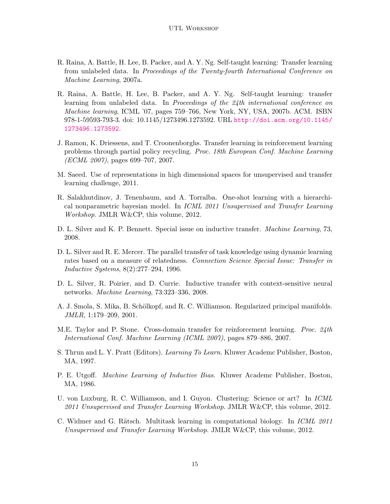- <span id="page-14-9"></span>R. Raina, A. Battle, H. Lee, B. Packer, and A. Y. Ng. Self-taught learning: Transfer learning from unlabeled data. In Proceedings of the Twenty-fourth International Conference on Machine Learning, 2007a.
- <span id="page-14-6"></span>R. Raina, A. Battle, H. Lee, B. Packer, and A. Y. Ng. Self-taught learning: transfer learning from unlabeled data. In Proceedings of the 24th international conference on Machine learning, ICML '07, pages 759–766, New York, NY, USA, 2007b. ACM. ISBN 978-1-59593-793-3. doi: 10.1145/1273496.1273592. URL [http://doi.acm.org/10.1145/](http://doi.acm.org/10.1145/1273496.1273592) [1273496.1273592](http://doi.acm.org/10.1145/1273496.1273592).
- <span id="page-14-0"></span>J. Ramon, K. Driessens, and T. Croonenborghs. Transfer learning in reinforcement learning problems through partial policy recycling. Proc. 18th European Conf. Machine Learning (ECML 2007), pages 699–707, 2007.
- <span id="page-14-10"></span>M. Saeed. Use of representations in high dimensional spaces for unsupervised and transfer learning challenge, 2011.
- <span id="page-14-11"></span>R. Salakhutdinov, J. Tenenbaum, and A. Torralba. One-shot learning with a hierarchical nonparametric bayesian model. In ICML 2011 Unsupervised and Transfer Learning Workshop. JMLR W&CP, this volume, 2012.
- <span id="page-14-5"></span>D. L. Silver and K. P. Bennett. Special issue on inductive transfer. *Machine Learning*, 73, 2008.
- <span id="page-14-4"></span>D. L. Silver and R. E. Mercer. The parallel transfer of task knowledge using dynamic learning rates based on a measure of relatedness. Connection Science Special Issue: Transfer in Inductive Systems, 8(2):277–294, 1996.
- <span id="page-14-7"></span>D. L. Silver, R. Poirier, and D. Currie. Inductive transfer with context-sensitive neural networks. Machine Learning, 73:323–336, 2008.
- <span id="page-14-8"></span>A. J. Smola, S. Mika, B. Schölkopf, and R. C. Williamson. Regularized principal manifolds. JMLR, 1:179–209, 2001.
- <span id="page-14-1"></span>M.E. Taylor and P. Stone. Cross-domain transfer for reinforcement learning. Proc. 24th International Conf. Machine Learning (ICML 2007), pages 879–886, 2007.
- <span id="page-14-3"></span>S. Thrun and L. Y. Pratt (Editors). Learning To Learn. Kluwer Academc Publisher, Boston, MA, 1997.
- <span id="page-14-2"></span>P. E. Utgoff. Machine Learning of Inductive Bias. Kluwer Academc Publisher, Boston, MA, 1986.
- <span id="page-14-12"></span>U. von Luxburg, R. C. Williamson, and I. Guyon. Clustering: Science or art? In ICML 2011 Unsupervised and Transfer Learning Workshop. JMLR W&CP, this volume, 2012.
- <span id="page-14-13"></span>C. Widmer and G. Rätsch. Multitask learning in computational biology. In *ICML 2011* Unsupervised and Transfer Learning Workshop. JMLR W&CP, this volume, 2012.